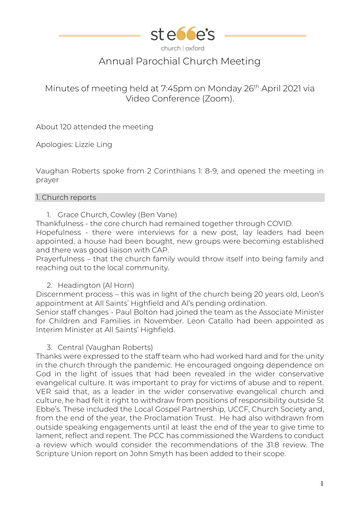

# Annual Parochial Church Meeting

# Minutes of meeting held at 7:45pm on Monday 26<sup>th</sup> April 2021 via Video Conference (Zoom).

About 120 attended the meeting

Apologies: Lizzie Ling

Vaughan Roberts spoke from 2 Corinthians 1: 8-9, and opened the meeting in prayer

#### 1. Church reports

1. Grace Church, Cowley (Ben Vane)

Thankfulness - the core church had remained together through COVID. Hopefulness - there were interviews for a new post, lay leaders had been appointed, a house had been bought, new groups were becoming established and there was good liaison with CAP.

Prayerfulness – that the church family would throw itself into being family and reaching out to the local community.

# 2. Headington (Al Horn)

Discernment process – this was in light of the church being 20 years old, Leon's appointment at All Saints' Highfield and Al's pending ordination.

Senior staff changes - Paul Bolton had joined the team as the Associate Minister for Children and Families in November. Leon Catallo had been appointed as Interim Minister at All Saints' Highfield.

# 3. Central (Vaughan Roberts)

Thanks were expressed to the staff team who had worked hard and for the unity in the church through the pandemic. He encouraged ongoing dependence on God in the light of issues that had been revealed in the wider conservative evangelical culture. It was important to pray for victims of abuse and to repent. VER said that, as a leader in the wider conservative evangelical church and culture, he had felt it right to withdraw from positions of responsibility outside St Ebbe's. These included the Local Gospel Partnership, UCCF, Church Society and, from the end of the year, the Proclamation Trust. He had also withdrawn from outside speaking engagements until at least the end of the year to give time to lament, reflect and repent. The PCC has commissioned the Wardens to conduct a review which would consider the recommendations of the 31:8 review. The Scripture Union report on John Smyth has been added to their scope.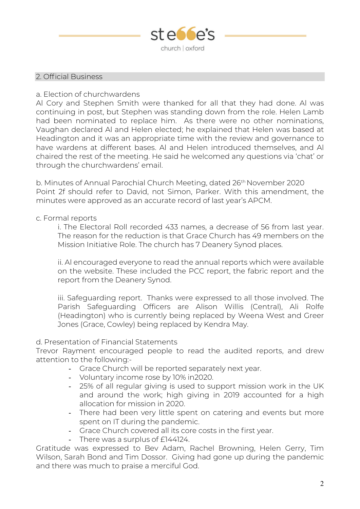

# 2. Official Business

# a. Election of churchwardens

Al Cory and Stephen Smith were thanked for all that they had done. Al was continuing in post, but Stephen was standing down from the role. Helen Lamb had been nominated to replace him. As there were no other nominations, Vaughan declared Al and Helen elected; he explained that Helen was based at Headington and it was an appropriate time with the review and governance to have wardens at different bases. Al and Helen introduced themselves, and Al chaired the rest of the meeting. He said he welcomed any questions via 'chat' or through the churchwardens' email.

b. Minutes of Annual Parochial Church Meeting, dated 26<sup>th</sup> November 2020 Point 2f should refer to David, not Simon, Parker. With this amendment, the minutes were approved as an accurate record of last year's APCM.

# c. Formal reports

i. The Electoral Roll recorded 433 names, a decrease of 56 from last year. The reason for the reduction is that Grace Church has 49 members on the Mission Initiative Role. The church has 7 Deanery Synod places.

ii. Al encouraged everyone to read the annual reports which were available on the website. These included the PCC report, the fabric report and the report from the Deanery Synod.

iii. Safeguarding report. Thanks were expressed to all those involved. The Parish Safeguarding Officers are Alison Willis (Central), Ali Rolfe (Headington) who is currently being replaced by Weena West and Greer Jones (Grace, Cowley) being replaced by Kendra May.

# d. Presentation of Financial Statements

Trevor Rayment encouraged people to read the audited reports, and drew attention to the following:-

- Grace Church will be reported separately next year.
- Voluntary income rose by 10% in2020.
- 25% of all regular giving is used to support mission work in the UK and around the work; high giving in 2019 accounted for a high allocation for mission in 2020.
- There had been very little spent on catering and events but more spent on IT during the pandemic.
- Grace Church covered all its core costs in the first year.
- There was a surplus of £144124.

Gratitude was expressed to Bev Adam, Rachel Browning, Helen Gerry, Tim Wilson, Sarah Bond and Tim Dossor. Giving had gone up during the pandemic and there was much to praise a merciful God.